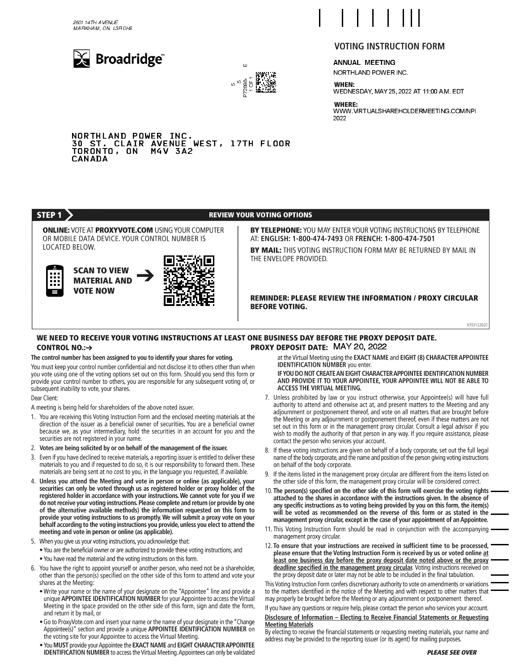2601 14TH AVENUE MARKHAM, ON L3R 0H9





### $\overline{\phantom{a}}$  $\overline{\phantom{a}}$  $\overline{\phantom{a}}$  $\overline{\phantom{a}}$ 111

# **VOTING INSTRUCTION FORM**

ANNUAL MEETING

 $\overline{\phantom{a}}$ 

NORTHLAND POWER INC.

**WHEN:** WEDNESDAY, MAY 25, 2022 AT 11:00 A.M. EDT

**WHERE:** WWW.VIRTUALSHAREHOLDERMEETING.COM/NPI<br>2022 2022

 NORTHLAND POWER INC. 30 ST. CLAIR AVENUE WEST, 17TH FLOOR TORONTO, ON M4V 3A2 CANADA



### WE NEED TO RECEIVE YOUR VOTING INSTRUCTIONS AT LEAST ONE BUSINESS DAY BEFORE THE PROXY DEPOSIT DATE. PROXY DEPOSIT DATE: MAY 20, 2022 CONTROL NO $: \rightarrow$

## The control number has been assigned to you to identify your shares for voting.

You must keep your control number confidential and not disclose it to others other than when you vote using one of the voting options set out on this form. Should you send this form or provide your control number to others, you are responsible for any subsequent voting of, or subsequent inability to vote, your shares

Dear Client:

A meeting is being held for shareholders of the above noted issuer.

- 1. You are receiving this Voting Instruction Form and the enclosed meeting materials at the direction of the issuer as a beneficial owner of securities. You are a beneficial owner because we, as your intermediary, hold the securities in an account for you and the securities are not registered in your name.
- 2. Votes are being solicited by or on behalf of the management of the issuer.
- 3. Even if you have declined to receive materials, a reporting issuer is entitled to deliver these materials to you and if requested to do so, it is our responsibility to forward them. These materials are being sent at no cost to you, in the language you requested, if available.
- 4. Unless you attend the Meeting and vote in person or online (as applicable), your securities can only be voted through us as registered holder or proxy holder of the registered holder in accordance with your instructions. We cannot vote for you if we do not receive your voting instructions. Please complete and return (or provide by one of the alternative available methods) the information requested on this form to provide your voting instructions to us promptly. We will submit a proxy vote on your behalf according to the voting instructions you provide, unless you elect to attend the meeting and vote in person or online (as applicable).
- 5. When you give us your voting instructions, you acknowledge that:
	- . You are the beneficial owner or are authorized to provide these voting instructions; and . You have read the material and the voting instructions on this form.
- 6. You have the right to appoint yourself or another person, who need not be a shareholder, other than the person(s) specified on the other side of this form to attend and vote your shares at the Meeting:
	- . Write your name or the name of your designate on the "Appointee" line and provide a unique APPOINTEE IDENTIFICATION NUMBER for your Appointee to access the Virtual Meeting in the space provided on the other side of this form, sign and date the form, and return it by mail, or
	- . Go to ProxyVote.com and insert your name or the name of your designate in the "Change Appointee(s)" section and provide a unique APPOINTEE IDENTIFICATION NUMBER on the voting site for your Appointee to access the Virtual Meeting.
	- . You MUST provide your Appointee the EXACT NAME and EIGHT CHARACTER APPOINTEE IDENTIFICATION NUMBER to access the Virtual Meeting. Appointees can only be validated

at the Virtual Meeting using the EXACT NAME and EIGHT (8) CHARACTER APPOINTEE **IDENTIFICATION NUMBER** you enter.

IF YOU DO NOT CREATE AN EIGHT CHARACTER APPOINTEE IDENTIFICATION NUMBER AND PROVIDE IT TO YOUR APPOINTEE, YOUR APPOINTEE WILL NOT BE ABLE TO ACCESS THE VIRTUAL MEETING.

- 7. Unless prohibited by law or you instruct otherwise, your Appointee(s) will have full authority to attend and otherwise act at, and present matters to the Meeting and any adiournment or postponement thereof, and vote on all matters that are brought before the Meeting or any adjournment or postponement thereof, even if these matters are not set out in this form or in the management proxy circular. Consult a legal advisor if you wish to modify the authority of that person in any way. If you require assistance, please contact the person who services your account.
- 8. If these voting instructions are given on behalf of a body corporate, set out the full legal name of the body corporate, and the name and position of the person giving voting instructions on behalf of the body corporate.
- If the items listed in the management proxy circular are different from the items listed on the other side of this form, the management proxy circular will be considered correct.
- 10. The person(s) specified on the other side of this form will exercise the voting rights 10 attached to the shares in accordance with the instructions given. In the absence of any specific instructions as to voting being provided by you on this form, the item(s) 0 will be voted as recommended on the reverse of this form or as stated in the management proxy circular, except in the case of your appointment of an Appointee.
- 10 10 management proxy circular.
- 12. To ensure that your instructions are received in sufficient time to be processed, 10 please ensure that the Voting Instruction Form is received by us or voted online at least one business day before the proxy deposit date noted above or the proxy 10 deadline specified in the management proxy circular. Voting instructions received on the proxy deposit date or later may not be able to be included in the final tabulation.

111 This Voting Instruction Form confers discretionary authority to vote on amendments or variations to the matters identified in the notice of the Meeting and with respect to other matters that may properly be brought before the Meeting or any adjournment or postponement thereof.

If you have any questions or require help, please contact the person who services your account.

## Disclosure of Information - Electing to Receive Financial Statements or Requesting **Meeting Materials**

By electing to receive the financial statements or requesting meeting materials, your name and address may be provided to the reporting issuer (or its agent) for mailing purposes.